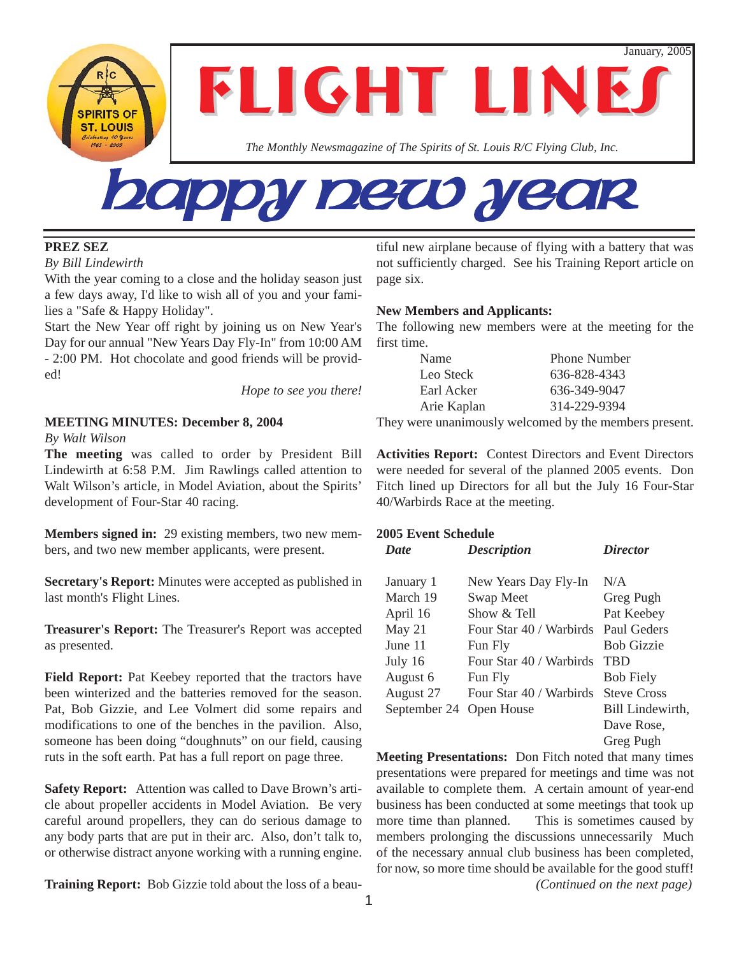January, 2005

**FLIGHT LINE** 

*The Monthly Newsmagazine of The Spirits of St. Louis R/C Flying Club, Inc.*

# Happy New Year

#### **PREZ SEZ**

*By Bill Lindewirth*

**SPIRITS OF ST. LOUIS** 

With the year coming to a close and the holiday season just a few days away, I'd like to wish all of you and your families a "Safe & Happy Holiday".

Start the New Year off right by joining us on New Year's Day for our annual "New Years Day Fly-In" from 10:00 AM - 2:00 PM. Hot chocolate and good friends will be provided!

*Hope to see you there!*

#### **MEETING MINUTES: December 8, 2004** *By Walt Wilson*

**The meeting** was called to order by President Bill Lindewirth at 6:58 P.M. Jim Rawlings called attention to Walt Wilson's article, in Model Aviation, about the Spirits' development of Four-Star 40 racing.

**Members signed in:** 29 existing members, two new members, and two new member applicants, were present.

**Secretary's Report:** Minutes were accepted as published in last month's Flight Lines.

**Treasurer's Report:** The Treasurer's Report was accepted as presented.

**Field Report:** Pat Keebey reported that the tractors have been winterized and the batteries removed for the season. Pat, Bob Gizzie, and Lee Volmert did some repairs and modifications to one of the benches in the pavilion. Also, someone has been doing "doughnuts" on our field, causing ruts in the soft earth. Pat has a full report on page three.

**Safety Report:** Attention was called to Dave Brown's article about propeller accidents in Model Aviation. Be very careful around propellers, they can do serious damage to any body parts that are put in their arc. Also, don't talk to, or otherwise distract anyone working with a running engine.

**Training Report:** Bob Gizzie told about the loss of a beau-

tiful new airplane because of flying with a battery that was not sufficiently charged. See his Training Report article on page six.

#### **New Members and Applicants:**

The following new members were at the meeting for the first time.

| Name        | <b>Phone Number</b> |
|-------------|---------------------|
| Leo Steck   | 636-828-4343        |
| Earl Acker  | 636-349-9047        |
| Arie Kaplan | 314-229-9394        |
|             |                     |

They were unanimously welcomed by the members present.

**Activities Report:** Contest Directors and Event Directors were needed for several of the planned 2005 events. Don Fitch lined up Directors for all but the July 16 Four-Star 40/Warbirds Race at the meeting.

#### **2005 Event Schedule**

| <b>Date</b>  | <b>Description</b>      | <i>Director</i>    |
|--------------|-------------------------|--------------------|
| January 1    | New Years Day Fly-In    | N/A                |
| March 19     | Swap Meet               | Greg Pugh          |
| April 16     | Show $\&$ Tell          | Pat Keebey         |
| May 21       | Four Star 40 / Warbirds | Paul Geders        |
| June 11      | Fun Fly                 | <b>Bob Gizzie</b>  |
| July 16      | Four Star 40 / Warbirds | <b>TBD</b>         |
| August 6     | Fun Fly                 | <b>Bob Fiely</b>   |
| August 27    | Four Star 40 / Warbirds | <b>Steve Cross</b> |
| September 24 | Open House              | Bill Lindewirth,   |
|              |                         | Dave Rose,         |
|              |                         | Greg Pugh          |

**Meeting Presentations:** Don Fitch noted that many times presentations were prepared for meetings and time was not available to complete them. A certain amount of year-end business has been conducted at some meetings that took up more time than planned. This is sometimes caused by members prolonging the discussions unnecessarily Much of the necessary annual club business has been completed, for now, so more time should be available for the good stuff! *(Continued on the next page)*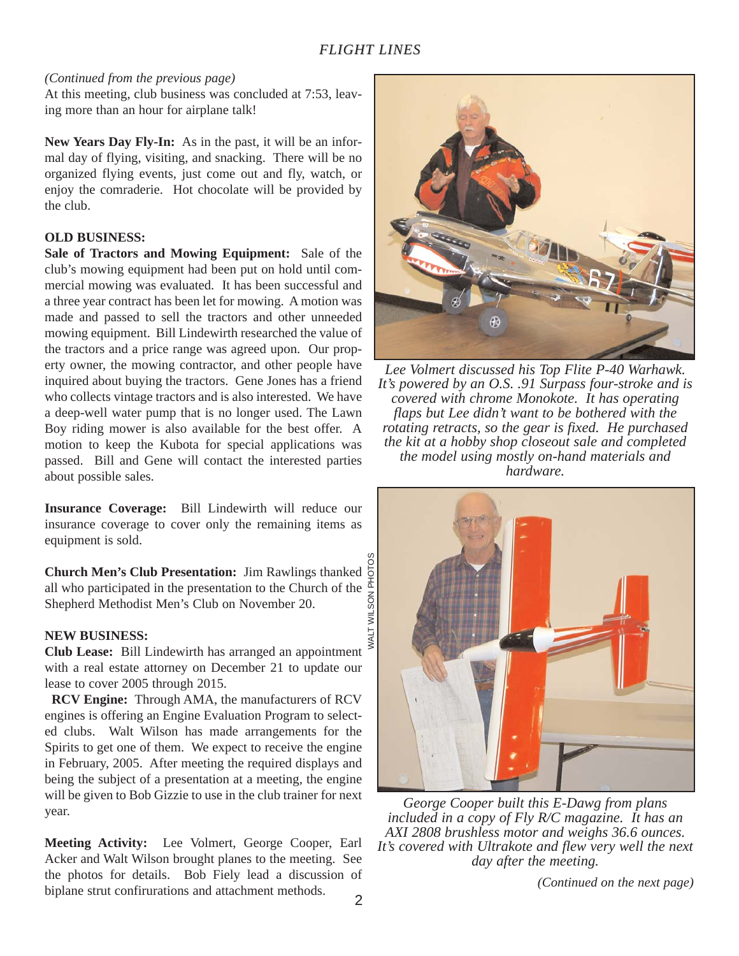#### *(Continued from the previous page)*

At this meeting, club business was concluded at 7:53, leaving more than an hour for airplane talk!

**New Years Day Fly-In:** As in the past, it will be an informal day of flying, visiting, and snacking. There will be no organized flying events, just come out and fly, watch, or enjoy the comraderie. Hot chocolate will be provided by the club.

#### **OLD BUSINESS:**

**Sale of Tractors and Mowing Equipment:** Sale of the club's mowing equipment had been put on hold until commercial mowing was evaluated. It has been successful and a three year contract has been let for mowing. A motion was made and passed to sell the tractors and other unneeded mowing equipment. Bill Lindewirth researched the value of the tractors and a price range was agreed upon. Our property owner, the mowing contractor, and other people have inquired about buying the tractors. Gene Jones has a friend who collects vintage tractors and is also interested. We have a deep-well water pump that is no longer used. The Lawn Boy riding mower is also available for the best offer. A motion to keep the Kubota for special applications was passed. Bill and Gene will contact the interested parties about possible sales.

**Insurance Coverage:** Bill Lindewirth will reduce our insurance coverage to cover only the remaining items as equipment is sold.

SON PHOTO **Church Men's Club Presentation:** Jim Rawlings thanked all who participated in the presentation to the Church of the Shepherd Methodist Men's Club on November 20.

#### **NEW BUSINESS:**

**Club Lease:** Bill Lindewirth has arranged an appointment with a real estate attorney on December 21 to update our lease to cover 2005 through 2015.

**RCV Engine:** Through AMA, the manufacturers of RCV engines is offering an Engine Evaluation Program to selected clubs. Walt Wilson has made arrangements for the Spirits to get one of them. We expect to receive the engine in February, 2005. After meeting the required displays and being the subject of a presentation at a meeting, the engine will be given to Bob Gizzie to use in the club trainer for next year.

**Meeting Activity:** Lee Volmert, George Cooper, Earl Acker and Walt Wilson brought planes to the meeting. See the photos for details. Bob Fiely lead a discussion of biplane strut confirurations and attachment methods. (Continued on the next page)



*Lee Volmert discussed his Top Flite P-40 Warhawk. It's powered by an O.S. .91 Surpass four-stroke and is covered with chrome Monokote. It has operating flaps but Lee didn't want to be bothered with the rotating retracts, so the gear is fixed. He purchased the kit at a hobby shop closeout sale and completed the model using mostly on-hand materials and hardware.*



*George Cooper built this E-Dawg from plans included in a copy of Fly R/C magazine. It has an AXI 2808 brushless motor and weighs 36.6 ounces. It's covered with Ultrakote and flew very well the next day after the meeting.*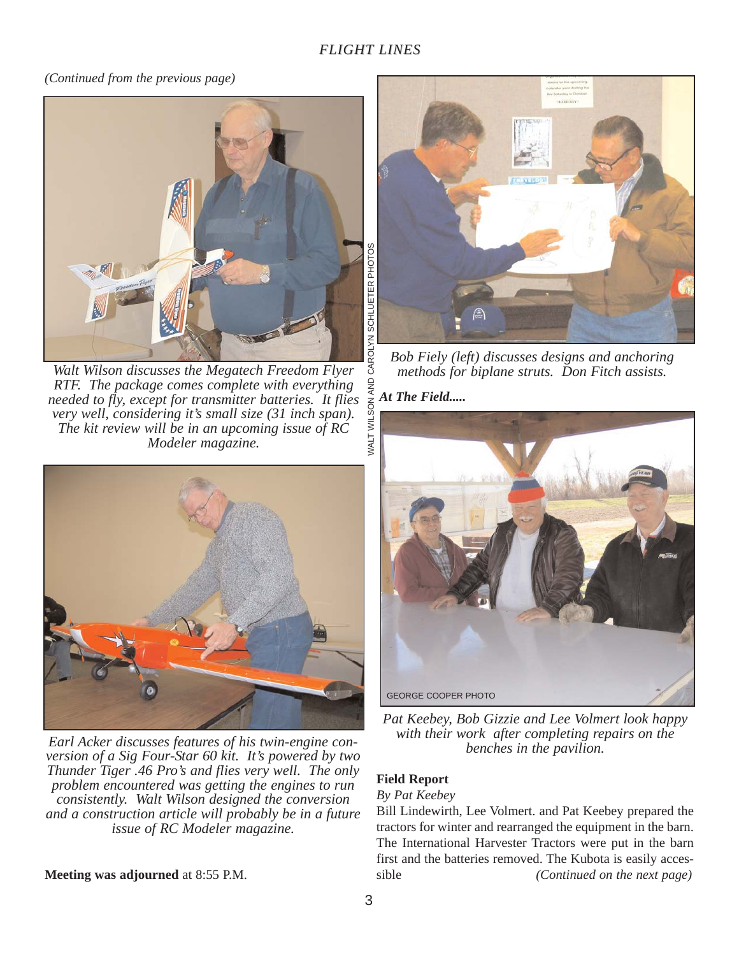#### *(Continued from the previous page)*



*Walt Wilson discusses the Megatech Freedom Flyer RTF. The package comes complete with everything needed to fly, except for transmitter batteries. It flies very well, considering it's small size (31 inch span). The kit review will be in an upcoming issue of RC Modeler magazine.*



*Earl Acker discusses features of his twin-engine conversion of a Sig Four-Star 60 kit. It's powered by two Thunder Tiger .46 Pro's and flies very well. The only problem encountered was getting the engines to run consistently. Walt Wilson designed the conversion and a construction article will probably be in a future issue of RC Modeler magazine.*

**Meeting was adjourned** at 8:55 P.M.



*Bob Fiely (left) discusses designs and anchoring methods for biplane struts. Don Fitch assists.*

*At The Field.....*



*Pat Keebey, Bob Gizzie and Lee Volmert look happy with their work after completing repairs on the benches in the pavilion.*

#### **Field Report**

*By Pat Keebey*

Bill Lindewirth, Lee Volmert. and Pat Keebey prepared the tractors for winter and rearranged the equipment in the barn. The International Harvester Tractors were put in the barn first and the batteries removed. The Kubota is easily accessible *(Continued on the next page)*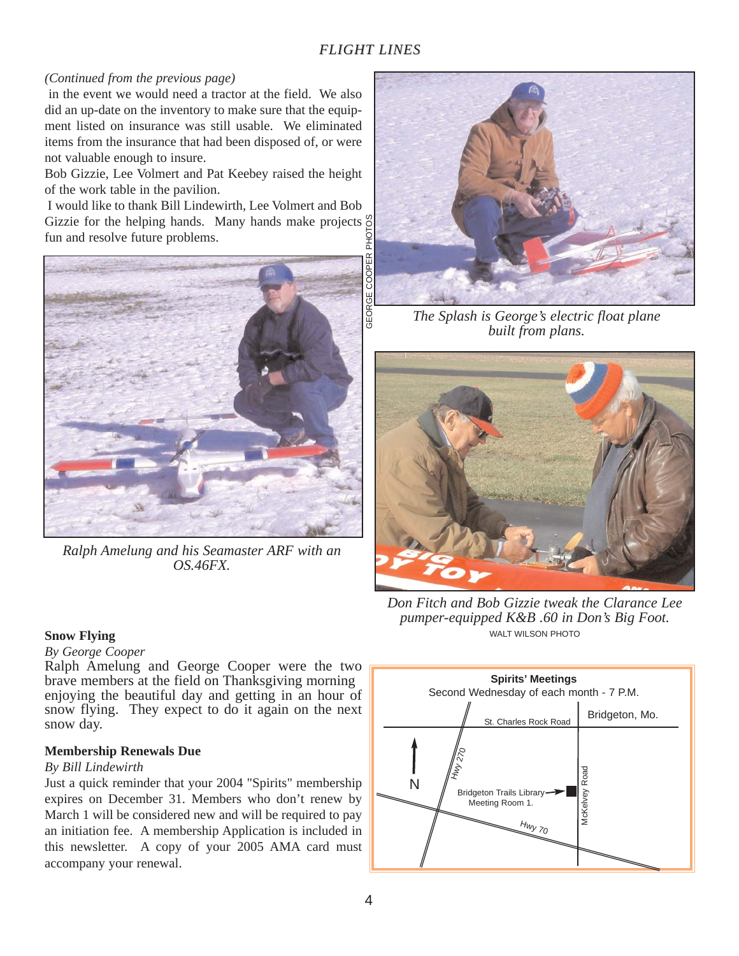#### *(Continued from the previous page)*

in the event we would need a tractor at the field. We also did an up-date on the inventory to make sure that the equipment listed on insurance was still usable. We eliminated items from the insurance that had been disposed of, or were not valuable enough to insure.

Bob Gizzie, Lee Volmert and Pat Keebey raised the height of the work table in the pavilion.

I would like to thank Bill Lindewirth, Lee Volmert and Bob Gizzie for the helping hands. Many hands make projects  $\frac{\infty}{6}$ fun and resolve future problems. GEORGE COOPER PHOTOS



*Ralph Amelung and his Seamaster ARF with an OS.46FX.*

#### **Snow Flying**

#### *By George Cooper*

Ralph Amelung and George Cooper were the two brave members at the field on Thanksgiving morning enjoying the beautiful day and getting in an hour of snow flying. They expect to do it again on the next snow day.

#### **Membership Renewals Due**

#### *By Bill Lindewirth*

Just a quick reminder that your 2004 "Spirits" membership expires on December 31. Members who don't renew by March 1 will be considered new and will be required to pay an initiation fee. A membership Application is included in this newsletter. A copy of your 2005 AMA card must accompany your renewal.



*The Splash is George's electric float plane built from plans.*



*Don Fitch and Bob Gizzie tweak the Clarance Lee pumper-equipped K&B .60 in Don's Big Foot.*  WALT WILSON PHOTO

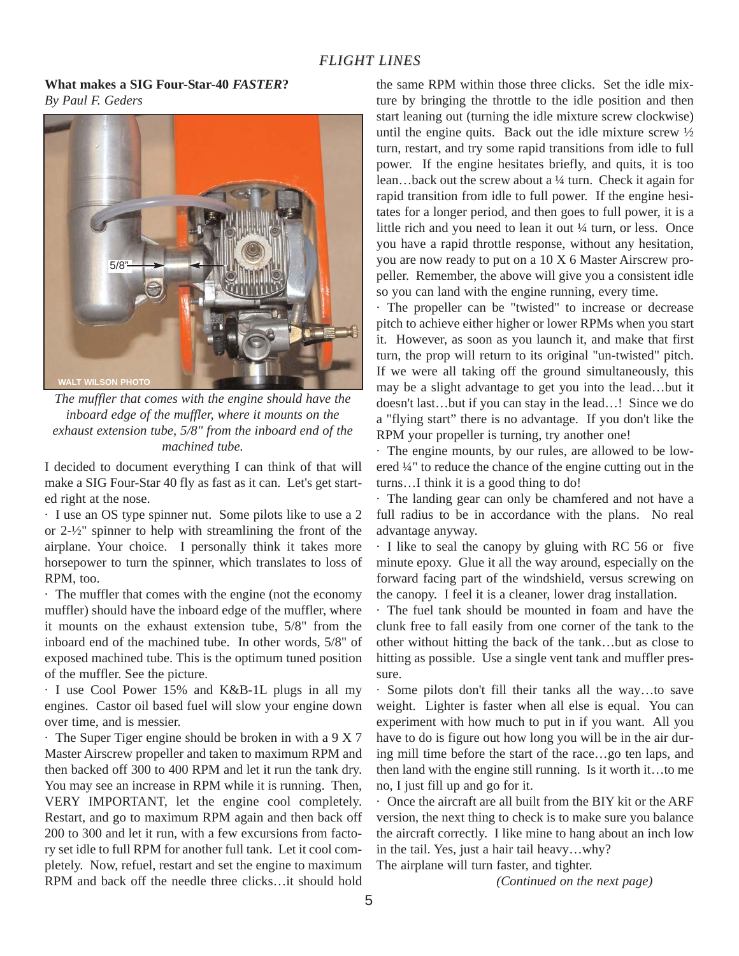#### **What makes a SIG Four-Star-40** *FASTER***?** *By Paul F. Geders*



*The muffler that comes with the engine should have the inboard edge of the muffler, where it mounts on the exhaust extension tube, 5/8" from the inboard end of the machined tube.*

I decided to document everything I can think of that will make a SIG Four-Star 40 fly as fast as it can. Let's get started right at the nose.

· I use an OS type spinner nut. Some pilots like to use a 2 or 2-½" spinner to help with streamlining the front of the airplane. Your choice. I personally think it takes more horsepower to turn the spinner, which translates to loss of RPM, too.

· The muffler that comes with the engine (not the economy muffler) should have the inboard edge of the muffler, where it mounts on the exhaust extension tube, 5/8" from the inboard end of the machined tube. In other words, 5/8" of exposed machined tube. This is the optimum tuned position of the muffler. See the picture.

· I use Cool Power 15% and K&B-1L plugs in all my engines. Castor oil based fuel will slow your engine down over time, and is messier.

· The Super Tiger engine should be broken in with a 9 X 7 Master Airscrew propeller and taken to maximum RPM and then backed off 300 to 400 RPM and let it run the tank dry. You may see an increase in RPM while it is running. Then, VERY IMPORTANT, let the engine cool completely. Restart, and go to maximum RPM again and then back off 200 to 300 and let it run, with a few excursions from factory set idle to full RPM for another full tank. Let it cool completely. Now, refuel, restart and set the engine to maximum RPM and back off the needle three clicks…it should hold

the same RPM within those three clicks. Set the idle mixture by bringing the throttle to the idle position and then start leaning out (turning the idle mixture screw clockwise) until the engine quits. Back out the idle mixture screw  $\frac{1}{2}$ turn, restart, and try some rapid transitions from idle to full power. If the engine hesitates briefly, and quits, it is too lean…back out the screw about a ¼ turn. Check it again for rapid transition from idle to full power. If the engine hesitates for a longer period, and then goes to full power, it is a little rich and you need to lean it out 1/4 turn, or less. Once you have a rapid throttle response, without any hesitation, you are now ready to put on a 10 X 6 Master Airscrew propeller. Remember, the above will give you a consistent idle so you can land with the engine running, every time.

· The propeller can be "twisted" to increase or decrease pitch to achieve either higher or lower RPMs when you start it. However, as soon as you launch it, and make that first turn, the prop will return to its original "un-twisted" pitch. If we were all taking off the ground simultaneously, this may be a slight advantage to get you into the lead…but it doesn't last…but if you can stay in the lead…! Since we do a "flying start" there is no advantage. If you don't like the RPM your propeller is turning, try another one!

· The engine mounts, by our rules, are allowed to be lowered ¼" to reduce the chance of the engine cutting out in the turns…I think it is a good thing to do!

· The landing gear can only be chamfered and not have a full radius to be in accordance with the plans. No real advantage anyway.

· I like to seal the canopy by gluing with RC 56 or five minute epoxy. Glue it all the way around, especially on the forward facing part of the windshield, versus screwing on the canopy. I feel it is a cleaner, lower drag installation.

· The fuel tank should be mounted in foam and have the clunk free to fall easily from one corner of the tank to the other without hitting the back of the tank…but as close to hitting as possible. Use a single vent tank and muffler pressure.

· Some pilots don't fill their tanks all the way…to save weight. Lighter is faster when all else is equal. You can experiment with how much to put in if you want. All you have to do is figure out how long you will be in the air during mill time before the start of the race…go ten laps, and then land with the engine still running. Is it worth it…to me no, I just fill up and go for it.

· Once the aircraft are all built from the BIY kit or the ARF version, the next thing to check is to make sure you balance the aircraft correctly. I like mine to hang about an inch low in the tail. Yes, just a hair tail heavy…why?

The airplane will turn faster, and tighter.

*(Continued on the next page)*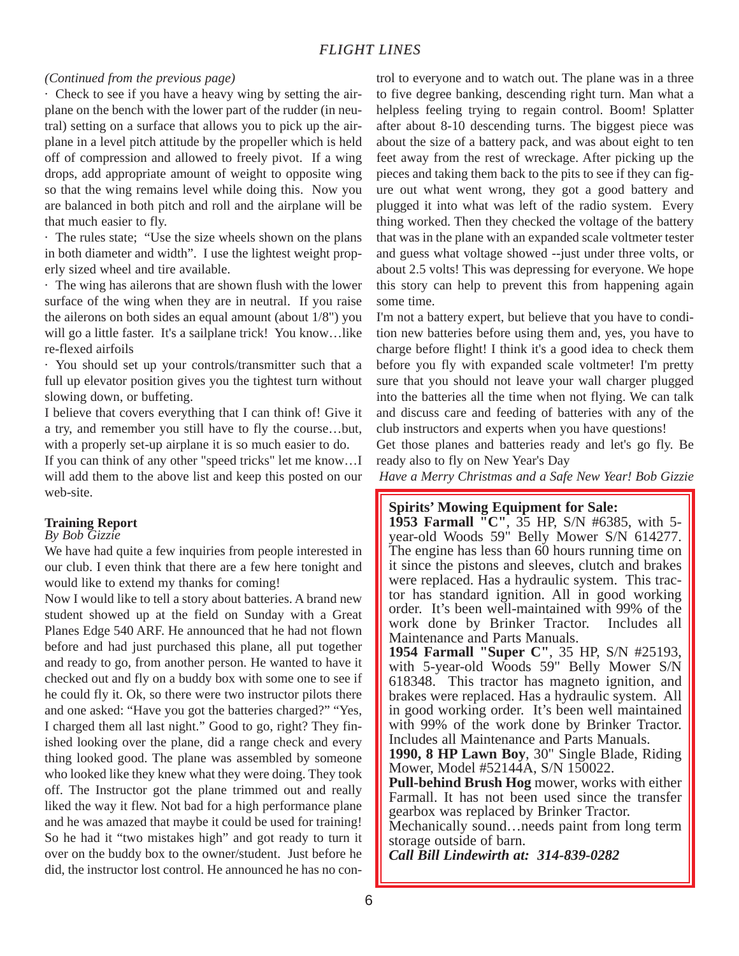#### *(Continued from the previous page)*

· Check to see if you have a heavy wing by setting the airplane on the bench with the lower part of the rudder (in neutral) setting on a surface that allows you to pick up the airplane in a level pitch attitude by the propeller which is held off of compression and allowed to freely pivot. If a wing drops, add appropriate amount of weight to opposite wing so that the wing remains level while doing this. Now you are balanced in both pitch and roll and the airplane will be that much easier to fly.

· The rules state; "Use the size wheels shown on the plans in both diameter and width". I use the lightest weight properly sized wheel and tire available.

· The wing has ailerons that are shown flush with the lower surface of the wing when they are in neutral. If you raise the ailerons on both sides an equal amount (about 1/8") you will go a little faster. It's a sailplane trick! You know…like re-flexed airfoils

· You should set up your controls/transmitter such that a full up elevator position gives you the tightest turn without slowing down, or buffeting.

I believe that covers everything that I can think of! Give it a try, and remember you still have to fly the course…but, with a properly set-up airplane it is so much easier to do.

If you can think of any other "speed tricks" let me know…I will add them to the above list and keep this posted on our web-site.

#### **Training Report**

#### *By Bob Gizzie*

We have had quite a few inquiries from people interested in our club. I even think that there are a few here tonight and would like to extend my thanks for coming!

Now I would like to tell a story about batteries. A brand new student showed up at the field on Sunday with a Great Planes Edge 540 ARF. He announced that he had not flown before and had just purchased this plane, all put together and ready to go, from another person. He wanted to have it checked out and fly on a buddy box with some one to see if he could fly it. Ok, so there were two instructor pilots there and one asked: "Have you got the batteries charged?" "Yes, I charged them all last night." Good to go, right? They finished looking over the plane, did a range check and every thing looked good. The plane was assembled by someone who looked like they knew what they were doing. They took off. The Instructor got the plane trimmed out and really liked the way it flew. Not bad for a high performance plane and he was amazed that maybe it could be used for training! So he had it "two mistakes high" and got ready to turn it over on the buddy box to the owner/student. Just before he did, the instructor lost control. He announced he has no con-

trol to everyone and to watch out. The plane was in a three to five degree banking, descending right turn. Man what a helpless feeling trying to regain control. Boom! Splatter after about 8-10 descending turns. The biggest piece was about the size of a battery pack, and was about eight to ten feet away from the rest of wreckage. After picking up the pieces and taking them back to the pits to see if they can figure out what went wrong, they got a good battery and plugged it into what was left of the radio system. Every thing worked. Then they checked the voltage of the battery that was in the plane with an expanded scale voltmeter tester and guess what voltage showed --just under three volts, or about 2.5 volts! This was depressing for everyone. We hope this story can help to prevent this from happening again some time.

I'm not a battery expert, but believe that you have to condition new batteries before using them and, yes, you have to charge before flight! I think it's a good idea to check them before you fly with expanded scale voltmeter! I'm pretty sure that you should not leave your wall charger plugged into the batteries all the time when not flying. We can talk and discuss care and feeding of batteries with any of the club instructors and experts when you have questions!

Get those planes and batteries ready and let's go fly. Be ready also to fly on New Year's Day

*Have a Merry Christmas and a Safe New Year! Bob Gizzie*

#### **Spirits' Mowing Equipment for Sale:**

**1953 Farmall "C"**, 35 HP, S/N #6385, with 5 year-old Woods 59" Belly Mower S/N 614277. The engine has less than 60 hours running time on it since the pistons and sleeves, clutch and brakes were replaced. Has a hydraulic system. This tractor has standard ignition. All in good working order. It's been well-maintained with 99% of the work done by Brinker Tractor. Includes all Maintenance and Parts Manuals.

**1954 Farmall "Super C"**, 35 HP, S/N #25193, with 5-year-old Woods 59" Belly Mower S/N 618348. This tractor has magneto ignition, and brakes were replaced. Has a hydraulic system. All in good working order. It's been well maintained with 99% of the work done by Brinker Tractor. Includes all Maintenance and Parts Manuals.

**1990, 8 HP Lawn Boy**, 30" Single Blade, Riding Mower, Model #52144A, S/N 150022.

**Pull-behind Brush Hog** mower, works with either Farmall. It has not been used since the transfer gearbox was replaced by Brinker Tractor.

Mechanically sound…needs paint from long term storage outside of barn.

*Call Bill Lindewirth at: 314-839-0282*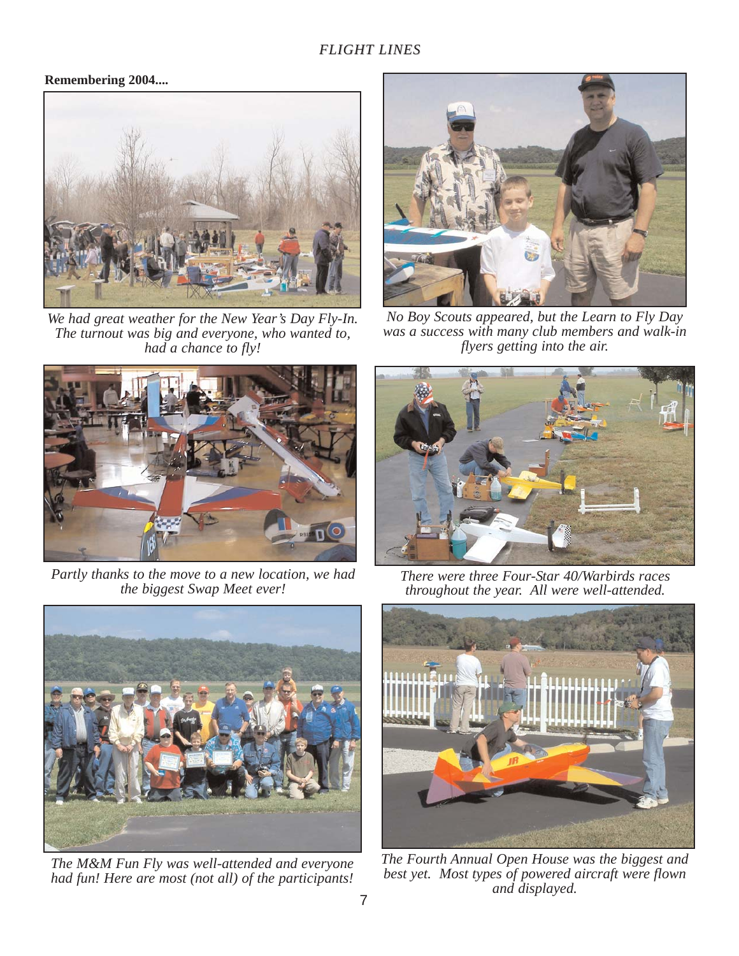## **Remembering 2004....**



*We had great weather for the New Year's Day Fly-In. The turnout was big and everyone, who wanted to, had a chance to fly!*



*No Boy Scouts appeared, but the Learn to Fly Day was a success with many club members and walk-in flyers getting into the air.*



*Partly thanks to the move to a new location, we had the biggest Swap Meet ever!*



*The M&M Fun Fly was well-attended and everyone had fun! Here are most (not all) of the participants!*



*There were three Four-Star 40/Warbirds races throughout the year. All were well-attended.*



*The Fourth Annual Open House was the biggest and best yet. Most types of powered aircraft were flown and displayed.*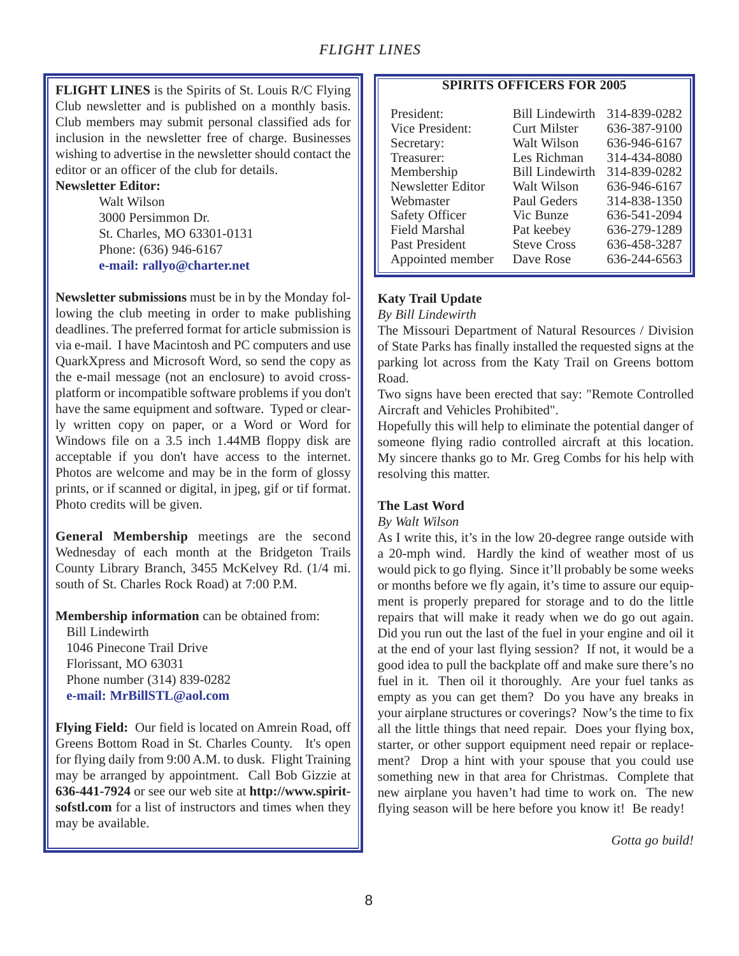**FLIGHT LINES** is the Spirits of St. Louis R/C Flying Club newsletter and is published on a monthly basis. Club members may submit personal classified ads for inclusion in the newsletter free of charge. Businesses wishing to advertise in the newsletter should contact the editor or an officer of the club for details.

#### **Newsletter Editor:**

Walt Wilson 3000 Persimmon Dr. St. Charles, MO 63301-0131 Phone: (636) 946-6167 **e-mail: rallyo@charter.net**

**Newsletter submissions** must be in by the Monday following the club meeting in order to make publishing deadlines. The preferred format for article submission is via e-mail. I have Macintosh and PC computers and use QuarkXpress and Microsoft Word, so send the copy as the e-mail message (not an enclosure) to avoid crossplatform or incompatible software problems if you don't have the same equipment and software. Typed or clearly written copy on paper, or a Word or Word for Windows file on a 3.5 inch 1.44MB floppy disk are acceptable if you don't have access to the internet. Photos are welcome and may be in the form of glossy prints, or if scanned or digital, in jpeg, gif or tif format. Photo credits will be given.

**General Membership** meetings are the second Wednesday of each month at the Bridgeton Trails County Library Branch, 3455 McKelvey Rd. (1/4 mi. south of St. Charles Rock Road) at 7:00 P.M.

**Membership information** can be obtained from:

Bill Lindewirth 1046 Pinecone Trail Drive Florissant, MO 63031 Phone number (314) 839-0282 **e-mail: MrBillSTL@aol.com**

**Flying Field:** Our field is located on Amrein Road, off Greens Bottom Road in St. Charles County. It's open for flying daily from 9:00 A.M. to dusk. Flight Training may be arranged by appointment. Call Bob Gizzie at **636-441-7924** or see our web site at **http://www.spiritsofstl.com** for a list of instructors and times when they may be available.

#### **SPIRITS OFFICERS FOR 2005**

| President:            | <b>Bill Lindewirth</b> | 314-839-0282 |
|-----------------------|------------------------|--------------|
| Vice President:       | <b>Curt Milster</b>    | 636-387-9100 |
| Secretary:            | Walt Wilson            | 636-946-6167 |
| Treasurer:            | Les Richman            | 314-434-8080 |
| Membership            | <b>Bill Lindewirth</b> | 314-839-0282 |
| Newsletter Editor     | Walt Wilson            | 636-946-6167 |
| Webmaster             | Paul Geders            | 314-838-1350 |
| <b>Safety Officer</b> | Vic Bunze              | 636-541-2094 |
| <b>Field Marshal</b>  | Pat keebey             | 636-279-1289 |
| Past President        | <b>Steve Cross</b>     | 636-458-3287 |
| Appointed member      | Dave Rose              | 636-244-6563 |

## **Katy Trail Update**

*By Bill Lindewirth*

The Missouri Department of Natural Resources / Division of State Parks has finally installed the requested signs at the parking lot across from the Katy Trail on Greens bottom Road.

Two signs have been erected that say: "Remote Controlled Aircraft and Vehicles Prohibited".

Hopefully this will help to eliminate the potential danger of someone flying radio controlled aircraft at this location. My sincere thanks go to Mr. Greg Combs for his help with resolving this matter.

#### **The Last Word**

#### *By Walt Wilson*

As I write this, it's in the low 20-degree range outside with a 20-mph wind. Hardly the kind of weather most of us would pick to go flying. Since it'll probably be some weeks or months before we fly again, it's time to assure our equipment is properly prepared for storage and to do the little repairs that will make it ready when we do go out again. Did you run out the last of the fuel in your engine and oil it at the end of your last flying session? If not, it would be a good idea to pull the backplate off and make sure there's no fuel in it. Then oil it thoroughly. Are your fuel tanks as empty as you can get them? Do you have any breaks in your airplane structures or coverings? Now's the time to fix all the little things that need repair. Does your flying box, starter, or other support equipment need repair or replacement? Drop a hint with your spouse that you could use something new in that area for Christmas. Complete that new airplane you haven't had time to work on. The new flying season will be here before you know it! Be ready!

*Gotta go build!*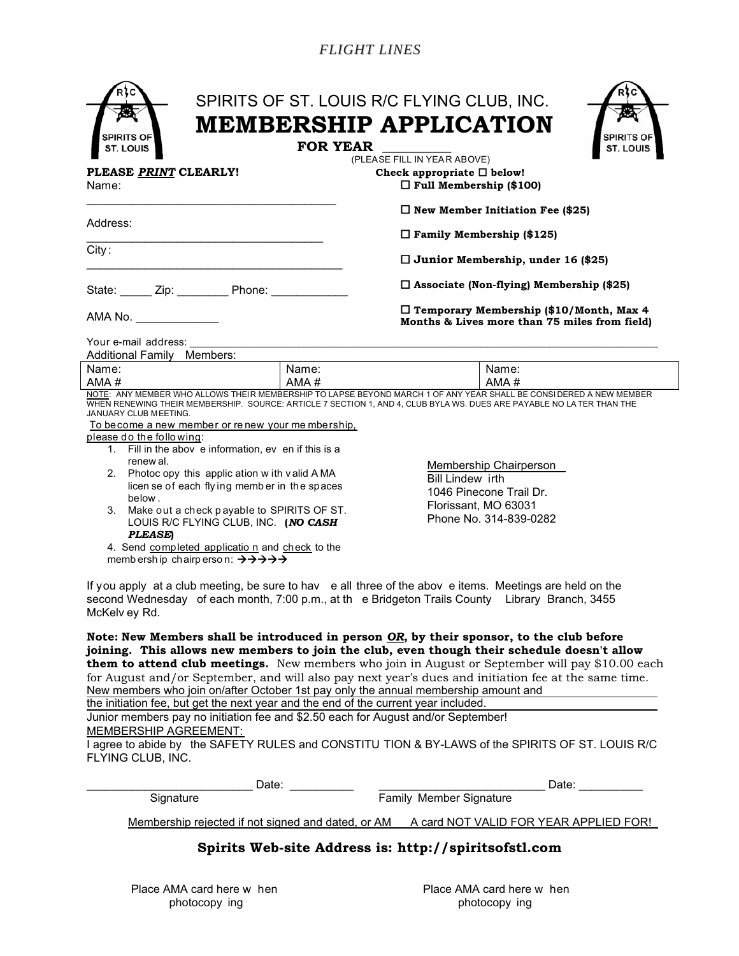|                                                                                                                                                                                                                                                                                                                                                                                                            |                                                   | (PLEASE FILL IN YEAR ABOVE)                                                                                                           |  |
|------------------------------------------------------------------------------------------------------------------------------------------------------------------------------------------------------------------------------------------------------------------------------------------------------------------------------------------------------------------------------------------------------------|---------------------------------------------------|---------------------------------------------------------------------------------------------------------------------------------------|--|
| PLEASE PRINT CLEARLY!<br>Name:                                                                                                                                                                                                                                                                                                                                                                             |                                                   | Check appropriate $\square$ below!<br>$\Box$ Full Membership (\$100)                                                                  |  |
|                                                                                                                                                                                                                                                                                                                                                                                                            |                                                   | $\Box$ New Member Initiation Fee (\$25)                                                                                               |  |
| Address:                                                                                                                                                                                                                                                                                                                                                                                                   |                                                   | $\Box$ Family Membership (\$125)                                                                                                      |  |
| City:                                                                                                                                                                                                                                                                                                                                                                                                      |                                                   | $\Box$ Junior Membership, under 16 (\$25)                                                                                             |  |
| State: ______ Zip: _________ Phone: ____________                                                                                                                                                                                                                                                                                                                                                           |                                                   | $\Box$ Associate (Non-flying) Membership (\$25)                                                                                       |  |
| AMA No.                                                                                                                                                                                                                                                                                                                                                                                                    |                                                   | $\Box$ Temporary Membership (\$10/Month, Max 4<br>Months & Lives more than 75 miles from field)                                       |  |
| Your e-mail address:<br>Additional Family Members:                                                                                                                                                                                                                                                                                                                                                         |                                                   |                                                                                                                                       |  |
| Name:                                                                                                                                                                                                                                                                                                                                                                                                      | Name:                                             | Name:                                                                                                                                 |  |
| AMA#                                                                                                                                                                                                                                                                                                                                                                                                       | AMA#                                              | AMA#                                                                                                                                  |  |
| JANUARY CLUB MEETING.                                                                                                                                                                                                                                                                                                                                                                                      | To become a new member or renew your me mbership, | WHEN RENEWING THEIR MEMBERSHIP. SOURCE: ARTICLE 7 SECTION 1, AND 4, CLUB BYLA WS. DUES ARE PAYABLE NO LA TER THAN THE                 |  |
| please do the following:<br>1. Fill in the abov e information, ev en if this is a<br>renew al.<br>2. Photoc opy this applic ation with valid AMA<br>licen se of each flying member in the spaces<br>below.<br>3. Make out a check payable to SPIRITS OF ST.<br>LOUIS R/C FLYING CLUB, INC. (NO CASH<br><b>PLEASE</b> )<br>4. Send completed application and check to the<br>memb ership chairperson: +++++ |                                                   | <b>Membership Chairperson</b><br><b>Bill Lindew irth</b><br>1046 Pinecone Trail Dr.<br>Florissant, MO 63031<br>Phone No. 314-839-0282 |  |

**them to attend club meetings.** New members who join in August or September will pay \$10.00 each for August and/or September, and will also pay next year's dues and initiation fee at the same time. New members who join on/after October 1st pay only the annual membership amount and

the initiation fee, but get the next year and the end of the current year included.

Junior members pay no initiation fee and \$2.50 each for August and/or September! MEMBERSHIP AGREEMENT:

I agree to abide by the SAFETY RULES and CONSTITU TION & BY-LAWS of the SPIRITS OF ST. LOUIS R/C FLYING CLUB, INC.

| Date:                                              | Date:                                  |
|----------------------------------------------------|----------------------------------------|
| Signature                                          | <b>Family Member Signature</b>         |
| Membership rejected if not signed and dated, or AM | A card NOT VALID FOR YEAR APPLIED FOR! |
|                                                    |                                        |

## **Spirits Web-site Address is: http://spiritsofstl.com**